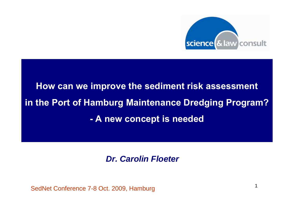

# **How can we improve the sediment risk assessment in the Port of Hamburg Maintenance Dredging Program? - A new concept is needed**

### *Dr. Carolin Floeter*

SedNet Conference 7-8 Oct. 2009, Hamburg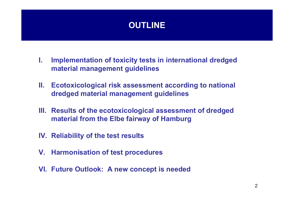### **OUTLINE**

- **I. Implementation of toxicity tests in international dredged material management guidelines**
- **II. Ecotoxicological risk assessment according to national dredged material management guidelines**
- **III. Results of the ecotoxicological assessment of dredged material from the Elbe fairway of Hamburg**
- **IV. Reliability of the test results**
- **V. Harmonisation of test procedures**
- **VI. Future Outlook: A new concept is needed**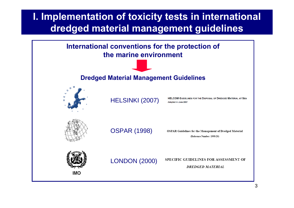## **I. Implementation of toxicity tests in international dredged material management guidelines**

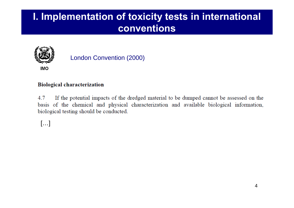## **I. Implementation of toxicity tests in international conventions**



### London Convention (2000)

#### **Biological characterization**

4.7 If the potential impacts of the dredged material to be dumped cannot be assessed on the basis of the chemical and physical characterization and available biological information, biological testing should be conducted.

[…]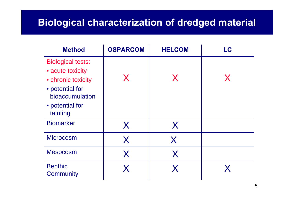## **Biological characterization of dredged material**

| <b>Method</b>                                                                                                                           | <b>OSPARCOM</b> | <b>HELCOM</b> | LC |
|-----------------------------------------------------------------------------------------------------------------------------------------|-----------------|---------------|----|
| <b>Biological tests:</b><br>• acute toxicity<br>• chronic toxicity<br>• potential for<br>bioaccumulation<br>• potential for<br>tainting | X               | X             | X  |
| <b>Biomarker</b>                                                                                                                        | X               | X             |    |
| <b>Microcosm</b>                                                                                                                        | X               | X             |    |
| <b>Mesocosm</b>                                                                                                                         | X               | X             |    |
| <b>Benthic</b><br>Community                                                                                                             | X               |               |    |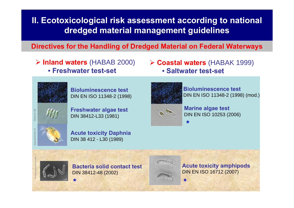**Directives for the Handling of Dredged Material on Federal Waterways**

¾ **Inland waters** (HABAB 2000) • **Freshwater test-set**

¾ **Coastal waters** (HABAK 1999) • **Saltwater test-set**



**Bioluminescence test** DIN EN ISO 11348-2 (1998)

**Freshwater algae test** DIN 38412-L33 (1981)



Ibacon.de

Ibacon.de

aquasense.nl

microbewiki.kenyon.edu

**Acute toxicity Daphnia** DIN 38 412 - L30 (1989)



**Bioluminescence test** DIN EN ISO 11348-2 (1998) (mod.)



**\***

**Marine algae test** DIN EN ISO 10253 (2006)



**\***

**Bacteria solid contact test**DIN 38412-48 (2002)



**Acute toxicity amphipods** DIN EN ISO 16712 (2007)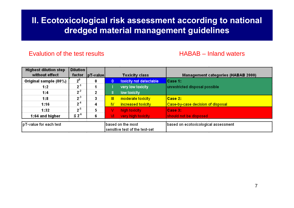#### Evalution of the test results

#### HABAB – Inland waters

| <b>Highest dilution step</b><br>without effect | <b>Dilution</b><br>factor | $ pT-value $ |              | <b>Toxicity class</b>                                | <b>Management categories (HABAB 2000)</b> |
|------------------------------------------------|---------------------------|--------------|--------------|------------------------------------------------------|-------------------------------------------|
| Original sample (80%)                          | $2^0$                     | 0            | 0            | toxicity not detectable                              | Case 1:                                   |
| 1:2                                            | $2^1$                     |              |              | very low toxicity                                    | unrestricted disposal possible            |
| 1:4                                            | $2^2$                     | 2            | IL           | low toxicity                                         |                                           |
| 1:8                                            | $2^{-3}$                  | 3            | $\mathbf{m}$ | moderate toxicity                                    | Case 2:                                   |
| 1:16                                           | $2^4$                     | 4            | N            | <b>increased toxicity</b>                            | Case-by-case decision of disposal         |
| 1:32                                           | $2^{-5}$                  | 5            | v            | high toxicity                                        | Case 3:                                   |
| 1:64 and higher                                | $\leq 2^{6}$              | 6            | VI           | very high toxicity                                   | should not be disposed                    |
| pT-value for each test                         |                           |              |              | lbased on the most<br>sensitive test of the test-set | based on ecotoxicological assessment      |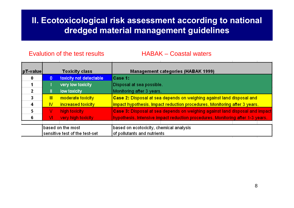Evalution of the test results HABAK – Coastal waters

| $pT$ -value |              | <b>Toxicity class</b>          | <b>Management categories (HABAK 1999)</b>                                      |
|-------------|--------------|--------------------------------|--------------------------------------------------------------------------------|
| 0           | 0            | toxicity not detectable        | Case 1:                                                                        |
|             |              | very low toxicity              | Disposal at sea possible.                                                      |
| 2           | Ш            | low toxicity                   | Monitoring after 3 years.                                                      |
| 3           | $\mathbb{I}$ | moderate toxicity              | Case 2: Disposal at sea depends on weighing against land disposal and          |
| 4           | IV           | increased toxicity             | impact hypothesis. Impact reduction procedures. Monitoring after 3 years.      |
| 5           | v            | high toxicity                  | Case 3: Disposal at sea depends on weighing against land disposal and impact   |
| 6           | VI)          | very high toxicity             | hypothesis. Intensive impact reduction procedures. Monitoring after 1-3 years. |
|             |              |                                |                                                                                |
|             |              | based on the most              | based on ecotoxicity, chemical analysis                                        |
|             |              | sensitive test of the test-set | of pollutants and nutrients                                                    |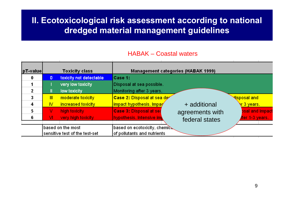#### HABAK – Coastal waters

| pT-value |              | <b>Toxicity class</b>          | <b>Management categories (HABAK 1999)</b> |                 |                           |
|----------|--------------|--------------------------------|-------------------------------------------|-----------------|---------------------------|
|          | $\mathbf{0}$ | toxicity not detectable        | Case 1:                                   |                 |                           |
|          |              | very low toxicity              | Disposal at sea possible.                 |                 |                           |
|          | Ш            | low toxicity                   | Monitoring after 3 years.                 |                 |                           |
|          | $\mathbb{I}$ | moderate toxicity              | Case 2: Disposal at sea de                |                 | <mark>ଏisposal and</mark> |
| 4        | <b>IV</b>    | increased toxicity             | impact hypothesis. Impay                  | + additional    | <mark>े। 3 years.</mark>  |
| 5        | v            | high toxicity                  | <b>Case 3: Disposal at sea</b>            | agreements with | <b>psal and impact</b>    |
| 6        | VI.          | very high toxicity             | hypothesis. Intensive im                  | federal states  | iter 1-3 years.           |
|          |              |                                |                                           |                 |                           |
|          |              | based on the most              | based on ecotoxicity, chemic              |                 |                           |
|          |              | sensitive test of the test-set | of pollutants and nutrients               |                 |                           |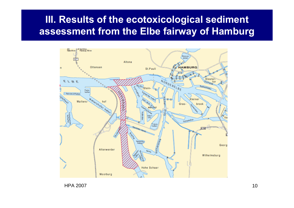## **III. Results of the ecotoxicological sediment assessment from the Elbe fairway of Hamburg**



HPA 2007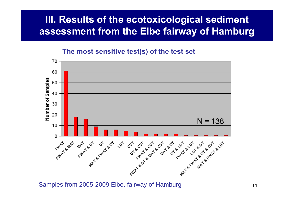## **III. Results of the ecotoxicological sediment assessment from the Elbe fairway of Hamburg**

### **The most sensitive test(s) of the test set**

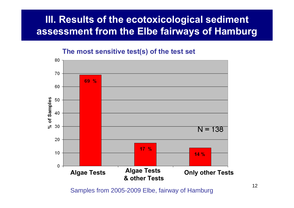## **III. Results of the ecotoxicological sediment assessment from the Elbe fairways of Hamburg**

**The most sensitive test(s) of the test set**



Samples from 2005-2009 Elbe, fairway of Hamburg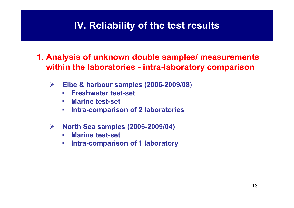## **IV. Reliability of the test results**

**1. Analysis of unknown double samples/ measurements within the laboratories - intra-laboratory comparison**

- ¾ **Elbe & harbour samples (2006-2009/08)**
	- $\mathcal{L}_{\mathcal{A}}$ **Freshwater test-set**
	- $\Box$ **Marine test-set**
	- $\mathcal{L}_{\mathcal{A}}$ **Intra-comparison of 2 laboratories**
- $\blacktriangleright$  **North Sea samples (2006-2009/04)**
	- $\mathcal{L}_{\mathcal{A}}$ **Marine test-set**
	- $\mathcal{L}_{\mathcal{A}}$ **Intra-comparison of 1 laboratory**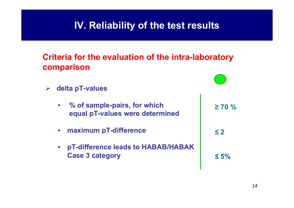## **IV. Reliability of the test results**

### **Criteria for the evaluation of the intra-laboratory comparison**

¾ **delta pT-values** • **% of sample-pairs, for which equal pT-values were determined** • **maximum pT-difference** • **pT-difference leads to HABAB/HABAK Case 3 category ≥ 70 %≤ 2 ≤ 5%**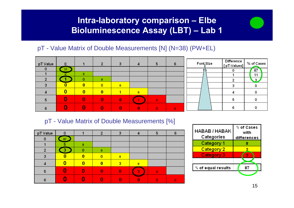### **Intra-laboratory comparison – Elbe Bioluminescence Assay (LBT) – Lab 1**

### pT - Value Matrix of Double Measurements [N] (N=38) (PW+EL)





| pT Value |    |  |   | 6 |
|----------|----|--|---|---|
| O        | 87 |  |   |   |
|          | F  |  |   |   |
| っ        | 3  |  |   |   |
|          |    |  |   |   |
|          |    |  |   |   |
|          |    |  | 3 |   |
|          |    |  |   |   |

| HABAB / HABAK<br>Categories | % of Cases<br>with<br>differences |
|-----------------------------|-----------------------------------|
| Category 1                  |                                   |
| Category 2                  |                                   |
| Category 3                  |                                   |
|                             |                                   |
| % of equal results          |                                   |
|                             |                                   |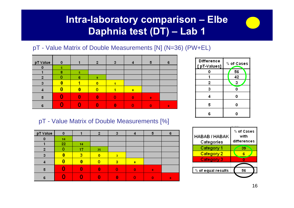## **Intra-laboratory comparison – Elbe Daphnia test (DT) – Lab 1**

### pT - Value Matrix of Double Measurements [N] (N=36) (PW+EL)

| pT Value       | 0 |   | 2 | з |   | 5 | 6 |
|----------------|---|---|---|---|---|---|---|
| $\Omega$       | 5 |   |   |   |   |   |   |
|                | 8 | 5 |   |   |   |   |   |
| $\overline{2}$ |   | 6 | 9 |   |   |   |   |
| 3              |   |   | o |   |   |   |   |
|                |   |   |   |   | 0 |   |   |
| 5              |   |   | n |   | n |   |   |
| 6              |   |   |   |   |   |   | Ω |



| pT Value | 0  |    | n  |                         |          | Ð |  |
|----------|----|----|----|-------------------------|----------|---|--|
| 0        | 14 |    |    |                         |          |   |  |
|          | 22 | 14 |    |                         |          |   |  |
| 2        |    | 17 | 25 |                         |          |   |  |
| 3        |    | з  | o  | $\overline{\mathbf{3}}$ |          |   |  |
|          |    | Λ  |    | з                       |          |   |  |
| 5        |    |    | 0  |                         | $\Omega$ | Ω |  |
|          |    |    |    |                         |          |   |  |

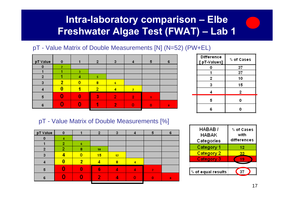## **Intra-laboratory comparison – Elbe Freshwater Algae Test (FWAT) – Lab 1**

### pT - Value Matrix of Double Measurements [N] (N=52) (PW+EL)



| Difference<br>[pT-Values] | % of Cases |
|---------------------------|------------|
| ٥                         | 37         |
|                           | 37         |
| 2                         | 10         |
| з                         | 15         |
| 4                         | 2          |
| 5                         | 0          |
| 6                         |            |

| pT Value       | 0 |   | פ  | з     | 5 | 6 |
|----------------|---|---|----|-------|---|---|
|                |   |   |    |       |   |   |
|                |   | 6 |    |       |   |   |
| $\overline{2}$ |   | 8 | 10 |       |   |   |
| 3              |   | ٥ | 15 | $-12$ |   |   |
|                |   | n |    | 8     |   |   |
| 5              |   | Λ | 6  |       | 2 |   |
| 6              |   |   |    |       | n |   |
|                |   |   |    |       |   |   |

| HABAB I<br>HABAK<br>Categories | % of Cases<br>with<br>differences |
|--------------------------------|-----------------------------------|
| Category 1                     | 12                                |
| <b>Category 2</b>              | 33                                |
| <b>Category 3</b>              | 19                                |
|                                |                                   |
| $%$ of equal results           | 37                                |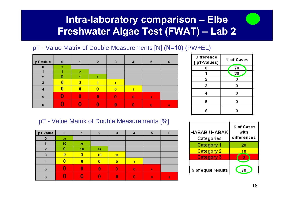## **Intra-laboratory comparison – Elbe Freshwater Algae Test (FWAT) – Lab 2**

### pT - Value Matrix of Double Measurements [N] **(N=10)** (PW+EL)



| pT Value       | o  |          | 2  | 3  |          | 5        | 6 |
|----------------|----|----------|----|----|----------|----------|---|
| 0              | 20 |          |    |    |          |          |   |
|                | 10 | 20       |    |    |          |          |   |
| $\overline{2}$ |    | 10       | 20 |    |          |          |   |
| 3              |    | 0        | 10 | 10 |          |          |   |
| Z              |    |          | o  | 0  | $\bf{0}$ |          |   |
| 5              |    | $\bf{0}$ | 0  | Ω  | $\Omega$ | $\bf{0}$ |   |
| 6              |    |          |    |    |          | Ω        |   |

| <b>Difference</b><br>[ pT-Values] | % of Cases |
|-----------------------------------|------------|
| 0                                 | 70         |
|                                   | 30         |
| 2                                 | 0          |
| з                                 | 0          |
| 4                                 | 0          |
| 5                                 | 0          |
| 6                                 |            |

| HABAB / HABAK<br>Categories | % of Cases<br>with<br>differences |
|-----------------------------|-----------------------------------|
| <b>Category 1</b>           | 20                                |
| <b>Category 2</b>           | 10                                |
| <b>Category 3</b>           |                                   |
|                             |                                   |
| $%$ of equal results        | 70                                |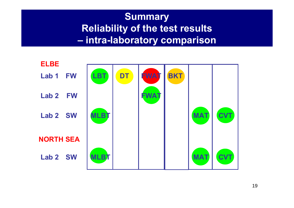### **Summary Reliability of the test results –intra-laboratory comparison**

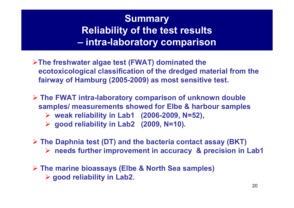### **Summary Reliability of the test results –intra-laboratory comparison**

- ¾**The freshwater algae test (FWAT) dominated the ecotoxicological classification of the dredged material from the fairway of Hamburg (2005-2009) as most sensitive test.**
- ¾ **The FWAT intra-laboratory comparison of unknown double samples/ measurements showed for Elbe & harbour samples** ¾ **weak reliability in Lab1 (2006-2009, N=52),**  ¾ **good reliability in Lab2 (2009, N=10).**
- ¾ **The Daphnia test (DT) and the bacteria contact assay (BKT)**  ¾ **needs further improvement in accuracy & precision in Lab1**
- ¾ **The marine bioassays (Elbe & North Sea samples)** ¾ **good reliability in Lab2.**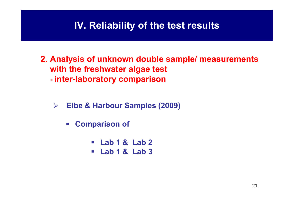## **IV. Reliability of the test results**

- **2. Analysis of unknown double sample/ measurements with the freshwater algae test inter-laboratory comparison**
	- ¾ **Elbe & Harbour Samples (2009)**
		- $\mathcal{L}_{\mathcal{A}}$  **Comparison of** 
			- **Lab 1 & Lab 2**
			- **Lab 1 & Lab 3**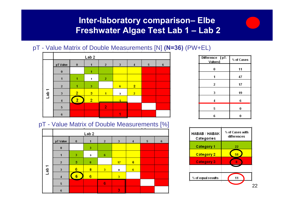### **Inter-laboratory comparison– Elbe Freshwater Algae Test Lab 1 – Lab 2**

### pT - Value Matrix of Double Measurements [N] **(N=36)** (PW+EL)



pT - Value Matrix of Double Measurements [%]

|                  |              |                | $\pm$            |                         |    |                 | $\mathbf{a}=\mathbf{a}$ .<br><b>Contract Contract</b> | ÷ |
|------------------|--------------|----------------|------------------|-------------------------|----|-----------------|-------------------------------------------------------|---|
|                  |              |                | Lab <sub>2</sub> |                         |    |                 |                                                       |   |
|                  | pT Value     | $\bf{0}$       | ۴                | $\overline{2}$          | 3  | 4               | 5                                                     | 6 |
|                  | $\bf{0}$     |                | 3                |                         |    |                 |                                                       |   |
|                  |              | 3              | 3                | 6                       |    |                 |                                                       |   |
|                  | $\mathbf{2}$ | 3              | $\bf 8$          |                         | 17 | 6               |                                                       |   |
| Lab <sub>1</sub> | 3            | 6              | 8                | $\overline{\mathbf{3}}$ | 8  | $6\phantom{.0}$ |                                                       |   |
|                  | 4            | $6\phantom{1}$ | $6\phantom{1}6$  |                         | 3  |                 |                                                       |   |
|                  | $\sqrt{5}$   |                |                  | $6\phantom{1}$          |    |                 |                                                       |   |
|                  | 6            |                |                  |                         | 3  |                 |                                                       |   |

| Difference [pT-<br><b>Values</b> | % of Cases |
|----------------------------------|------------|
| 0                                | 11         |
| 1                                | 47         |
| 2                                | 17         |
| 3                                | 19         |
| 4                                | 6          |
| 5                                | 0          |
| 6                                | 0          |

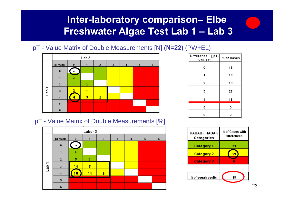## **Inter-laboratory comparison– Elbe Freshwater Algae Test Lab 1 – Lab 3**

### pT - Value Matrix of Double Measurements [N] **(N=22)** (PW+EL)



pT - Value Matrix of Double Measurements [%]



| Difference [ pT-<br>Values] | % of Cases |
|-----------------------------|------------|
| 0                           | 18         |
| 1                           | 18         |
| 2                           | 18         |
| 3                           | 27         |
| 4                           | 18         |
| 5                           | 0          |
| 6                           | 0          |

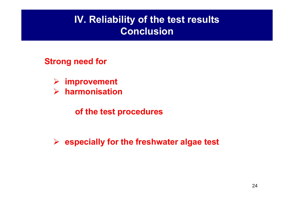## **IV. Reliability of the test results Conclusion**

### **Strong need for**

- ¾**improvement**
- $\blacktriangleright$ **harmonisation**

## **of the test procedures**

¾ **especially for the freshwater algae test**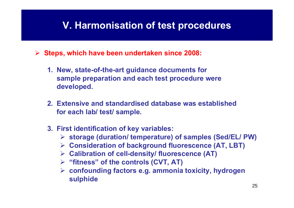## **V. Harmonisation of test procedures**

¾ **Steps, which have been undertaken since 2008:**

- **1. New, state-of-the-art guidance documents for sample preparation and each test procedure were developed.**
- **2. Extensive and standardised database was establishedfor each lab/ test/ sample.**
- **3. First identification of key variables:**
	- ¾ **storage (duration/ temperature) of samples (Sed/EL/ PW)**
	- ¾ **Consideration of background fluorescence (AT, LBT)**
	- ¾ **Calibration of cell-density/ fluorescence (AT)**
	- ¾ **"fitness" of the controls (CVT, AT)**
	- ¾ **confounding factors e.g. ammonia toxicity, hydrogen sulphide**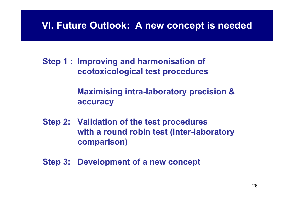## **VI. Future Outlook: A new concept is needed**

**Step 1 : Improving and harmonisation of ecotoxicological test procedures**

> **Maximising intra-laboratory precision & accuracy**

**Step 2: Validation of the test procedures with a round robin test (inter-laboratory comparison)**

**Step 3: Development of a new concept**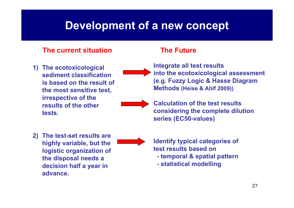## **Development of a new concept**

### **The current situation**

**1) The ecotoxicological sediment classification is based on the result of the most sensitive test, irrespective of the results of the other tests.** 

### **The Future**

**Integrate all test results into the ecotoxicological assessment (e.g. Fuzzy Logic & Hasse Diagram Methods (Heise & Ahlf 2009))**



**Calculation of the test results considering the complete dilution series (EC50-values)**

**2) The test-set results are highly variable, but the logistic organization of the disposal needs a decision half a year in advance.** 

**Identify typical categories of test results based on**

- **- temporal & spatial pattern**
- **- statistical modelling**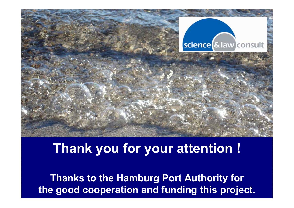

## **Thank you for your attention !**

28 **the good cooperation and funding this project.Thanks to the Hamburg Port Authority for**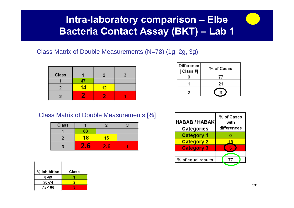## **Intra-laboratory comparison – Elbe Bacteria Contact Assay (BKT) – Lab 1**

### Class Matrix of Double Measurements (N=78) (1g, 2g, 3g)

| Class |    | 2  |  |
|-------|----|----|--|
|       |    |    |  |
|       | 14 | 12 |  |
|       |    |    |  |

| Difference | % of Cases |
|------------|------------|
| [ Class #] |            |
|            |            |
|            | 21         |
|            |            |

### Class Matrix of Double Measurements [%]

| Class |            |   |  |
|-------|------------|---|--|
|       | ß٢         |   |  |
|       | 18         | Б |  |
|       | <b>COL</b> | 6 |  |

| $%$ Inhibition | Class |
|----------------|-------|
| 0-49           |       |
| 50-74          |       |
| 75-100         |       |

| % of Cases<br><b>HABAB / HABAK</b><br>with<br>differences |
|-----------------------------------------------------------|
|                                                           |
| 18                                                        |
|                                                           |
|                                                           |
| 77                                                        |
|                                                           |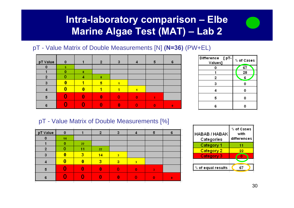## **Intra-laboratory comparison – Elbe Marine Algae Test (MAT) – Lab 2**

### pT - Value Matrix of Double Measurements [N] **(N=36)** (PW+EL)

| pT Value       | 0 |   | 2               | з |   | 5 | 6 |
|----------------|---|---|-----------------|---|---|---|---|
| 0              | 5 |   |                 |   |   |   |   |
|                | n | 8 |                 |   |   |   |   |
| $\overline{2}$ |   | Δ | -8              |   |   |   |   |
| 3              |   |   | $5\phantom{.0}$ |   |   |   |   |
|                |   | Λ |                 |   |   |   |   |
| 5              |   | n | 0               |   | n |   |   |
| 6              |   |   |                 |   |   |   |   |

| Difference<br>[pT-<br>Values] | % of Cases |
|-------------------------------|------------|
| 0                             | 67         |
|                               | 28         |
| 2                             | 6          |
| з                             | ٥          |
|                               | 0          |
| 5                             | 0          |
| 6                             |            |

| pT Value       | o  |    | ŋ            | з                       |                         | 5 | 6         |
|----------------|----|----|--------------|-------------------------|-------------------------|---|-----------|
| O              | 14 |    |              |                         |                         |   |           |
|                | n  | 22 |              |                         |                         |   |           |
| $\overline{2}$ |    | 11 | 22           |                         |                         |   |           |
| 3              |    | 3  | 14           | $\overline{\mathbf{3}}$ |                         |   |           |
|                |    | Ō  | з            | 3                       | $\overline{\mathbf{3}}$ |   |           |
| 5              |    |    | $\mathbf{0}$ |                         | n                       |   |           |
| 6              |    |    |              | 0                       |                         | n | $\bullet$ |
|                |    |    |              |                         |                         |   |           |

| HABAB / HABAK<br>Categories | % of Cases<br>with<br>differences |
|-----------------------------|-----------------------------------|
| Category 1                  | 11                                |
| <b>Category 2</b>           | 22                                |
| <b>Category 3</b>           |                                   |
|                             |                                   |
| $%$ of equal results        |                                   |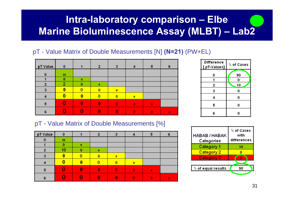## **Intra-laboratory comparison – Elbe Marine Bioluminescence Assay (MLBT) – Lab2**

### pT - Value Matrix of Double Measurements [N] **(N=21)** (PW+EL)





| pT Value             | 0  |   |   |   | 5            | 6 |
|----------------------|----|---|---|---|--------------|---|
|                      | 90 |   |   |   |              |   |
|                      | n  |   |   |   |              |   |
| $\ddot{\phantom{1}}$ | 10 |   |   |   |              |   |
|                      |    | n |   |   |              |   |
|                      |    |   | n |   |              |   |
| 5                    |    |   |   | n | $\mathbf{0}$ |   |
| 6                    |    |   |   |   |              | n |

| HABAB / HABAK<br>Categories | % of Cases<br>with<br>differences |
|-----------------------------|-----------------------------------|
| Category 1                  | 10                                |
| <b>Category 2</b>           |                                   |
| Category 3                  |                                   |
|                             |                                   |
| % of equal results          | 90                                |
|                             |                                   |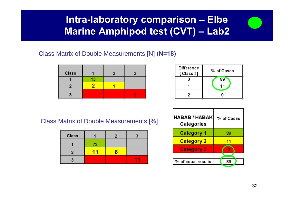## **Intra-laboratory comparison – Elbe Marine Amphipod test (CVT) – Lab2**

#### Class Matrix of Double Measurements [N] **(N=18)**

| Class |    |  |
|-------|----|--|
|       | 13 |  |
|       |    |  |
|       |    |  |

| <b>Difference</b><br>[ Class #] | $\%$ of Cases |
|---------------------------------|---------------|
|                                 | 89            |
|                                 | 11            |
|                                 |               |

Class Matrix of Double Measurements [%]

| Class |          |  |
|-------|----------|--|
|       | 72       |  |
|       | <b>P</b> |  |
|       |          |  |

| <b>HABAB / HABAK</b><br>Categories | % of Cases |
|------------------------------------|------------|
| Category 1                         | 89         |
| <b>Category 2</b>                  | 11         |
| <b>Category 3</b>                  | Ω          |
|                                    |            |
| $\mid$ % of equal results          | 89         |
|                                    |            |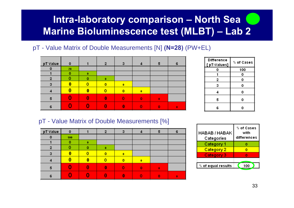## **Intra-laboratory comparison – North Sea Marine Bioluminescence test (MLBT) – Lab 2**

### pT - Value Matrix of Double Measurements [N] **(N=28)** (PW+EL)

| pT Value | $\mathbf{o}$ |   | D            | з              |           | 5            | 6        | Difference<br>[pT-Values] | % of Cases |
|----------|--------------|---|--------------|----------------|-----------|--------------|----------|---------------------------|------------|
|          | 28           |   |              |                |           |              |          |                           | 100        |
|          | o            | 0 |              |                |           |              |          |                           | 0          |
|          |              |   | 0            |                |           |              |          |                           |            |
|          |              |   | $\mathbf{0}$ | $\bullet$      |           |              |          |                           |            |
|          |              |   | $\mathbf 0$  | $\overline{0}$ | $\bullet$ |              |          |                           | U          |
|          |              |   | 0            | Ω              | $\Omega$  | $\mathbf{0}$ |          |                           |            |
| D        |              |   | Λ            |                |           | $\bullet$    | $\bf{0}$ |                           |            |

| <b>Difference</b><br>[pT-Values] | % of Cases |
|----------------------------------|------------|
| ٥                                | 100        |
|                                  | 0          |
| 2                                | 0          |
| з                                | 0          |
| 4                                | 0          |
| 5                                | 0          |
| 6                                |            |

| pT Value | 0   |   | פ | з                        |              | 5         | 6 |
|----------|-----|---|---|--------------------------|--------------|-----------|---|
| 0        | 100 |   |   |                          |              |           |   |
|          |     | O |   |                          |              |           |   |
| 2        |     | n |   |                          |              |           |   |
| 3        |     |   | o | $\overline{\phantom{a}}$ |              |           |   |
|          |     | Ω |   | n                        | $\mathbf{0}$ |           |   |
| 5        |     |   | Ω |                          | n            | $\bullet$ |   |
|          |     |   |   |                          |              |           |   |

| HABAB / HABAK<br>Categories | % of Cases<br>with<br>differences |
|-----------------------------|-----------------------------------|
| Category 1                  |                                   |
| <b>Category 2</b>           |                                   |
| <b>Category 3</b>           |                                   |
|                             |                                   |
| % of equal results          | 100                               |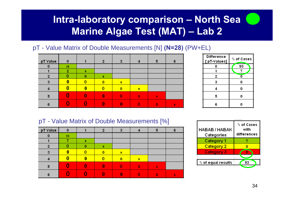## **Intra-laboratory comparison – North Sea Marine Algae Test (MAT) – Lab 2**

### pT - Value Matrix of Double Measurements [N] **(N=28)** (PW+EL)

| pT Value | 0  |          | 2        | з           |          | 5 | 6 |
|----------|----|----------|----------|-------------|----------|---|---|
| 0        | 26 |          |          |             |          |   |   |
|          | ,  | $\bf{0}$ |          |             |          |   |   |
| 2        |    | 0        | $\bf{0}$ |             |          |   |   |
| 3        |    |          | 0        | $\bullet$   |          |   |   |
|          |    | Ω        |          | $\mathbf o$ |          |   |   |
| 5        |    |          | 0        |             | $\Omega$ | Ω |   |
| 6        |    |          |          |             |          |   |   |
|          |    |          |          |             |          |   |   |

| <b>Difference</b><br>[pT-Values] | % of Cases |  |  |
|----------------------------------|------------|--|--|
| 0                                | 93         |  |  |
|                                  |            |  |  |
| 2                                | ٥          |  |  |
| 3                                | 0          |  |  |
|                                  | 0          |  |  |
| 5                                | 0          |  |  |
| 6                                |            |  |  |

| pT Value | 0  |          | っ        | з |              | 6 |
|----------|----|----------|----------|---|--------------|---|
| $\Omega$ | 93 |          |          |   |              |   |
|          |    | $\bf{0}$ |          |   |              |   |
| o        |    |          | $\bf{0}$ |   |              |   |
| з        |    |          | o        | 0 |              |   |
|          |    |          |          | n |              |   |
|          |    |          | o        |   | $\mathbf{0}$ |   |
| 6        |    |          |          |   |              |   |

| HABAB / HABAK<br>Categories | % of Cases<br>with<br>differences |
|-----------------------------|-----------------------------------|
| Category 1                  |                                   |
| <b>Category 2</b>           |                                   |
| Category 3                  |                                   |
|                             |                                   |
| % of equal results          |                                   |
|                             |                                   |